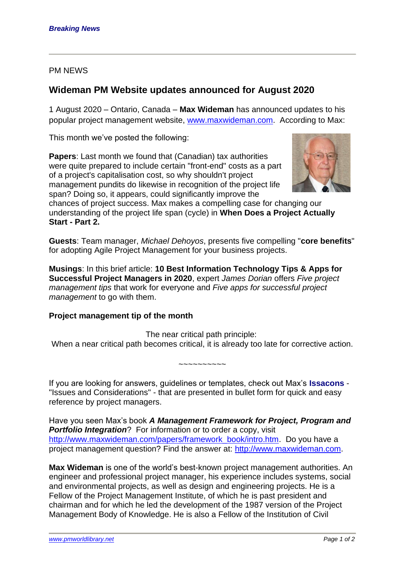## PM NEWS

## **Wideman PM Website updates announced for August 2020**

1 August 2020 – Ontario, Canada – **Max Wideman** has announced updates to his popular project management website, [www.maxwideman.com.](http://www.maxwideman.com/) According to Max:

This month we've posted the following:

**Papers:** Last month we found that (Canadian) tax authorities were quite prepared to include certain "front-end" costs as a part of a project's capitalisation cost, so why shouldn't project management pundits do likewise in recognition of the project life span? Doing so, it appears, could significantly improve the



chances of project success. Max makes a compelling case for changing our understanding of the project life span (cycle) in **When Does a Project Actually Start - Part 2.**

**Guests**: Team manager, *Michael Dehoyos*, presents five compelling "**core benefits**" for adopting Agile Project Management for your business projects.

**Musings**: In this brief article: **10 Best Information Technology Tips & Apps for Successful Project Managers in 2020**, expert *James Dorian* offers *Five project management tips* that work for everyone and *Five apps for successful project management* to go with them.

## **Project management tip of the month**

The near critical path principle: When a near critical path becomes critical, it is already too late for corrective action.

~~~~~~~~~~

If you are looking for answers, guidelines or templates, check out Max's **Issacons** - "Issues and Considerations" - that are presented in bullet form for quick and easy reference by project managers.

Have you seen Max's book *A Management Framework for Project, Program and*  **Portfolio Integration**? For information or to order a copy, visit [http://www.maxwideman.com/papers/framework\\_book/intro.htm.](http://www.maxwideman.com/papers/framework_book/intro.htm) Do you have a project management question? Find the answer at: [http://www.maxwideman.com.](http://www.maxwideman.com/)

**Max Wideman** is one of the world's best-known project management authorities. An engineer and professional project manager, his experience includes systems, social and environmental projects, as well as design and engineering projects. He is a Fellow of the Project Management Institute, of which he is past president and chairman and for which he led the development of the 1987 version of the Project Management Body of Knowledge. He is also a Fellow of the Institution of Civil